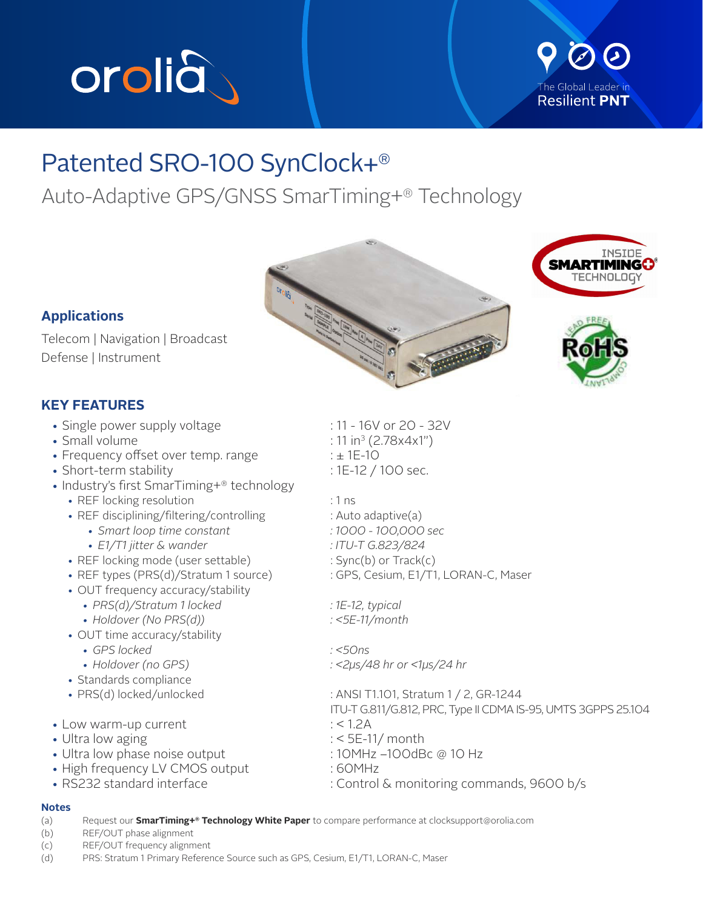

## The Global Leader in **Resilient PNT**

## Patented SRO-100 SynClock+®

Auto-Adaptive GPS/GNSS SmarTiming+® Technology



Telecom | Navigation | Broadcast Defense | Instrument

## **KEY FEATURES**

- Single power supply voltage : 11 16V or 20 32V
- $\cdot$  Small volume
- Frequency offset over temp. range  $\pm 1E-10$
- Short-term stability : 1E-12 / 100 sec.
- Industry's first SmarTiming+® technology
	- REF locking resolution  $\cdot$  1 ns
	- REF disciplining/filtering/controlling : Auto adaptive(a)
		- *Smart loop time constant : 1000 100,000 sec*
		- *E1/T1 jitter & wander : ITU-T G.823/824*
	- REF locking mode (user settable) : Sync(b) or Track(c)
	-
	- OUT frequency accuracy/stability
		- *PRS(d)/Stratum 1 locked : 1E-12, typical*
		- *Holdover (No PRS(d)) : <5E-11/month*
	- OUT time accuracy/stability
		- *GPS locked : <50ns*
		-
	- Standards compliance
	-
- Low warm-up current  $\cdot$  < 1.2A
- 
- Ultra low phase noise output : 10MHz –100dBc @ 10 Hz
- High frequency LV CMOS output : 60MHz
- 

# $: 11 \text{ in}^3 (2.78 \text{x} 4 \text{x} 1")$

- 
- 

- 
- 
- 
- 
- REF types (PRS(d)/Stratum 1 source) : GPS, Cesium, E1/T1, LORAN-C, Maser
	-
	-

*• Holdover (no GPS) : <2µs/48 hr or <1µs/24 hr*

• PRS(d) locked/unlocked : ANSI T1.101, Stratum 1 / 2, GR-1244 ITU-T G.811/G.812, PRC, Type II CDMA IS-95, UMTS 3GPPS 25.104 • Ultra low aging state of the state of the state of the state of the state of the state of the state of the state of the state of the state of the state of the state of the state of the state of the state of the state of • RS232 standard interface : Control & monitoring commands, 9600 b/s

- **Notes**
- (a) Request our **SmarTiming+® Technology White Paper** to compare performance at clocksupport@orolia.com

(b) REF/OUT phase alignment

- (c) REF/OUT frequency alignment
- (d) PRS: Stratum 1 Primary Reference Source such as GPS, Cesium, E1/T1, LORAN-C, Maser





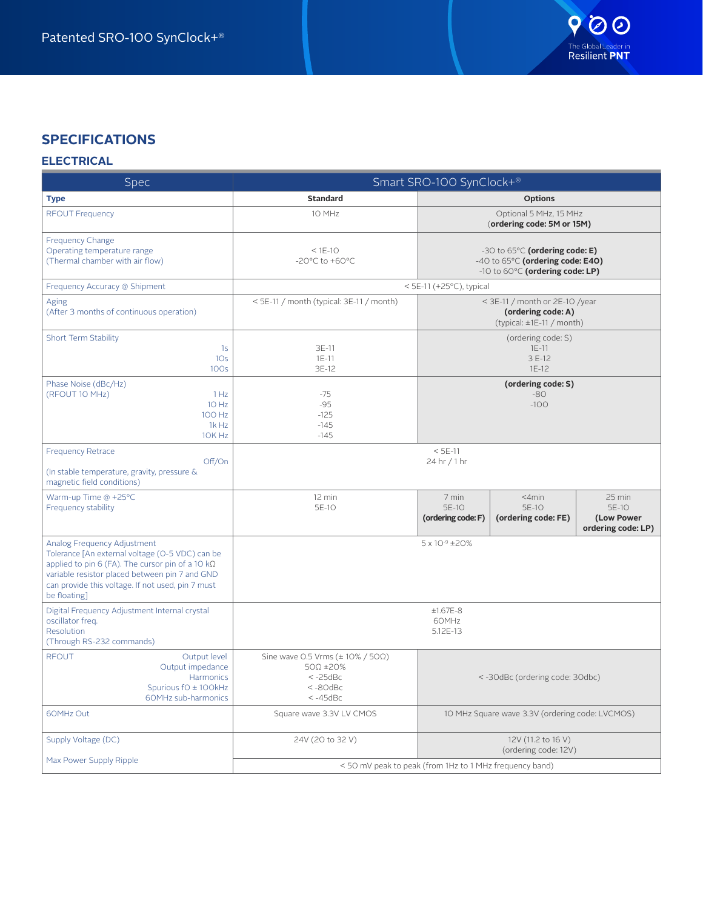

## **SPECIFICATIONS**

### **ELECTRICAL**

| Spec                                                                                                                                                                                                                                                             | Smart SRO-100 SynClock+®                                                                                            |                                                                                                       |                                                    |                                                     |
|------------------------------------------------------------------------------------------------------------------------------------------------------------------------------------------------------------------------------------------------------------------|---------------------------------------------------------------------------------------------------------------------|-------------------------------------------------------------------------------------------------------|----------------------------------------------------|-----------------------------------------------------|
| <b>Type</b>                                                                                                                                                                                                                                                      | <b>Standard</b>                                                                                                     |                                                                                                       | <b>Options</b>                                     |                                                     |
| <b>RFOUT Frequency</b>                                                                                                                                                                                                                                           | 10 MHz                                                                                                              | Optional 5 MHz, 15 MHz<br>(ordering code: 5M or 15M)                                                  |                                                    |                                                     |
| <b>Frequency Change</b><br>Operating temperature range<br>(Thermal chamber with air flow)                                                                                                                                                                        | $<$ 1E-10<br>-20 $^{\circ}$ C to +60 $^{\circ}$ C                                                                   | -30 to 65°C (ordering code: E)<br>-40 to 65°C (ordering code: E40)<br>-10 to 60°C (ordering code: LP) |                                                    |                                                     |
| Frequency Accuracy @ Shipment                                                                                                                                                                                                                                    |                                                                                                                     | < 5E-11 (+25 $°C$ ), typical                                                                          |                                                    |                                                     |
| Aging<br>(After 3 months of continuous operation)                                                                                                                                                                                                                | < 5E-11 / month (typical: 3E-11 / month)                                                                            | < 3E-11 / month or 2E-10 /year<br>(ordering code: A)<br>(typical: $\pm$ 1E-11 / month)                |                                                    |                                                     |
| Short Term Stability<br>1s<br>10 <sub>s</sub><br>100s                                                                                                                                                                                                            | 3E-11<br>$1E-11$<br>3E-12                                                                                           |                                                                                                       | (ordering code: S)<br>$1E-11$<br>3 E-12<br>$1E-12$ |                                                     |
| Phase Noise (dBc/Hz)<br>(RFOUT 10 MHz)<br>1 Hz<br>10 Hz<br>100 Hz<br>1k Hz<br>10K Hz                                                                                                                                                                             | $-75$<br>$-95$<br>$-125$<br>$-145$<br>$-145$                                                                        |                                                                                                       | (ordering code: S)<br>$-80$<br>$-100$              |                                                     |
| <b>Frequency Retrace</b><br>Off/On<br>(In stable temperature, gravity, pressure &<br>magnetic field conditions)                                                                                                                                                  |                                                                                                                     | $< 5E-11$<br>24 hr / 1 hr                                                                             |                                                    |                                                     |
| Warm-up Time @ +25°C<br>Frequency stability                                                                                                                                                                                                                      | 12 min<br>5E-10                                                                                                     | 7 min<br>5E-10<br>(ordering code: F)                                                                  | $<$ 4 $min$<br>5E-10<br>(ordering code: FE)        | 25 min<br>5E-10<br>(Low Power<br>ordering code: LP) |
| Analog Frequency Adjustment<br>Tolerance [An external voltage (O-5 VDC) can be<br>applied to pin 6 (FA). The cursor pin of a 10 $k\Omega$<br>variable resistor placed between pin 7 and GND<br>can provide this voltage. If not used, pin 7 must<br>be floating] |                                                                                                                     | 5 x 10-9 ±20%                                                                                         |                                                    |                                                     |
| Digital Frequency Adjustment Internal crystal<br>oscillator freq.<br>Resolution<br>(Through RS-232 commands)                                                                                                                                                     |                                                                                                                     | $±1.67E-8$<br>60MHz<br>5.12E-13                                                                       |                                                    |                                                     |
| <b>RFOUT</b><br>Output level<br>Output impedance<br>Harmonics<br>Spurious fO ± 100kHz<br>60MHz sub-harmonics                                                                                                                                                     | Sine wave 0.5 Vrms $(\pm 10\% / 50\Omega)$<br>$50\Omega$ ±20%<br>$< -25$ d $Bc$<br>$< -80$ d $Bc$<br>$< -45$ d $Bc$ | <-30dBc (ordering code: 30dbc)                                                                        |                                                    |                                                     |
| 60MHz Out                                                                                                                                                                                                                                                        | Square wave 3.3V LV CMOS                                                                                            | 10 MHz Square wave 3.3V (ordering code: LVCMOS)                                                       |                                                    |                                                     |
| Supply Voltage (DC)                                                                                                                                                                                                                                              | 24V (20 to 32 V)                                                                                                    | 12V (11.2 to 16 V)<br>(ordering code: 12V)                                                            |                                                    |                                                     |
| Max Power Supply Ripple                                                                                                                                                                                                                                          |                                                                                                                     | <50 mV peak to peak (from 1Hz to 1 MHz frequency band)                                                |                                                    |                                                     |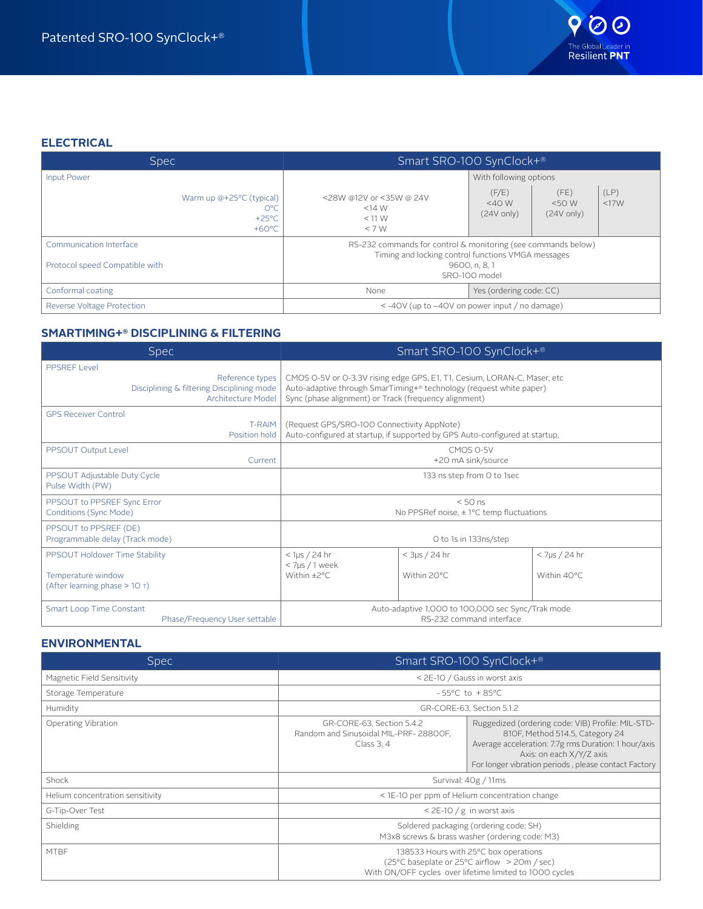

### **ELECTRICAL**

| <b>Spec</b>                                                           | Smart SRO-100 SynClock+®                                                                                            |                                                    |                                      |              |
|-----------------------------------------------------------------------|---------------------------------------------------------------------------------------------------------------------|----------------------------------------------------|--------------------------------------|--------------|
| Input Power                                                           |                                                                                                                     | With following options                             |                                      |              |
| Warm up @+25°C (typical)<br>0°C<br>$+25^{\circ}$ C<br>$+60^{\circ}$ C | <28W @12V or <35W @ 24V<br>$<14$ W<br>$<$ 11 W<br>$<$ 7 W                                                           | (F/E)<br>$<$ 40 W<br>$(24V \text{ only})$          | (FE)<br><50W<br>$(24V \text{ only})$ | (LP)<br><17W |
| Communication Interface                                               | RS-232 commands for control & monitoring (see commands below)<br>Timing and locking control functions VMGA messages |                                                    |                                      |              |
| Protocol speed Compatible with                                        |                                                                                                                     | 9600, n, 8, 1<br>SRO-100 model                     |                                      |              |
| Conformal coating                                                     | None                                                                                                                | Yes (ordering code: CC)                            |                                      |              |
| Reverse Voltage Protection                                            |                                                                                                                     | $\le$ -40V (up to -40V on power input / no damage) |                                      |              |

#### **SMARTIMING+® DISCIPLINING & FILTERING**

| <b>Spec</b>                                                                                         | Smart SRO-100 SynClock+®                                                                                                                                                                                 |                                |                                 |
|-----------------------------------------------------------------------------------------------------|----------------------------------------------------------------------------------------------------------------------------------------------------------------------------------------------------------|--------------------------------|---------------------------------|
| PPSRFF Level<br>Reference types<br>Disciplining & filtering Disciplining mode<br>Architecture Model | CMOS 0-5V or 0-3.3V rising edge GPS, E1, T1, Cesium, LORAN-C, Maser, etc<br>Auto-adaptive through SmarTiming+® technology (request white paper)<br>Sync (phase alignment) or Track (frequency alignment) |                                |                                 |
| <b>GPS Receiver Control</b><br><b>T-RAIM</b><br>Position hold                                       | (Request GPS/SRO-100 Connectivity AppNote)<br>Auto-configured at startup, if supported by GPS Auto-configured at startup,                                                                                |                                |                                 |
| PPSOUT Output Level<br>Current                                                                      | CMOS 0-5V<br>+20 mA sink/source                                                                                                                                                                          |                                |                                 |
| PPSOUT Adjustable Duty Cycle<br>Pulse Width (PW)                                                    | 133 ns step from O to 1sec                                                                                                                                                                               |                                |                                 |
| PPSOUT to PPSREF Sync Error<br>Conditions (Sync Mode)                                               | $< 50$ ns<br>No PPSRef noise, $\pm$ 1°C temp fluctuations                                                                                                                                                |                                |                                 |
| PPSOUT to PPSREF (DE)<br>Programmable delay (Track mode)                                            | O to 1s in 133ns/step                                                                                                                                                                                    |                                |                                 |
| PPSOUT Holdover Time Stability<br>Temperature window<br>(After learning phase $> 10$ T)             | $<$ 1µs / 24 hr<br>< 7µs / 1 week<br>Within ±2°C.                                                                                                                                                        | $<$ 3µs / 24 hr<br>Within 20°C | $<$ 7µs / 24 hr<br>Within 40°C. |
| Smart Loop Time Constant<br>Phase/Frequency User settable                                           | Auto-adaptive 1,000 to 100,000 sec Sync/Trak mode<br>RS-232 command interface                                                                                                                            |                                |                                 |

#### **ENVIRONMENTAL**

| <b>Spec</b>                      | Smart SRO-100 SynClock+®                                                                                                                         |                                                                                                                                                                                                                                  |  |
|----------------------------------|--------------------------------------------------------------------------------------------------------------------------------------------------|----------------------------------------------------------------------------------------------------------------------------------------------------------------------------------------------------------------------------------|--|
| Magnetic Field Sensitivity       | < 2E-10 / Gauss in worst axis                                                                                                                    |                                                                                                                                                                                                                                  |  |
| Storage Temperature              | $-55^{\circ}$ C to $+85^{\circ}$ C                                                                                                               |                                                                                                                                                                                                                                  |  |
| Humidity                         | GR-CORE-63, Section 5.1.2                                                                                                                        |                                                                                                                                                                                                                                  |  |
| Operating Vibration              | GR-CORE-63, Section 5.4.2<br>Random and Sinusoidal MIL-PRF-28800F,<br>Class 3, 4                                                                 | Ruggedized (ordering code: VIB) Profile: MIL-STD-<br>810F, Method 514.5, Category 24<br>Average acceleration: 7.7g rms Duration: 1 hour/axis<br>Axis: on each X/Y/Z axis<br>For longer vibration periods, please contact Factory |  |
| Shock                            | Survival: 40g / 11ms                                                                                                                             |                                                                                                                                                                                                                                  |  |
| Helium concentration sensitivity | < 1E-10 per ppm of Helium concentration change                                                                                                   |                                                                                                                                                                                                                                  |  |
| G-Tip-Over Test                  | $<$ 2E-10 / g in worst axis                                                                                                                      |                                                                                                                                                                                                                                  |  |
| Shielding                        | Soldered packaging (ordering code: SH)<br>M3x8 screws & brass washer (ordering code: M3)                                                         |                                                                                                                                                                                                                                  |  |
| <b>MTBF</b>                      | 138533 Hours with 25°C box operations<br>(25°C baseplate or 25°C airflow > 20m / sec)<br>With ON/OFF cycles over lifetime limited to 1000 cycles |                                                                                                                                                                                                                                  |  |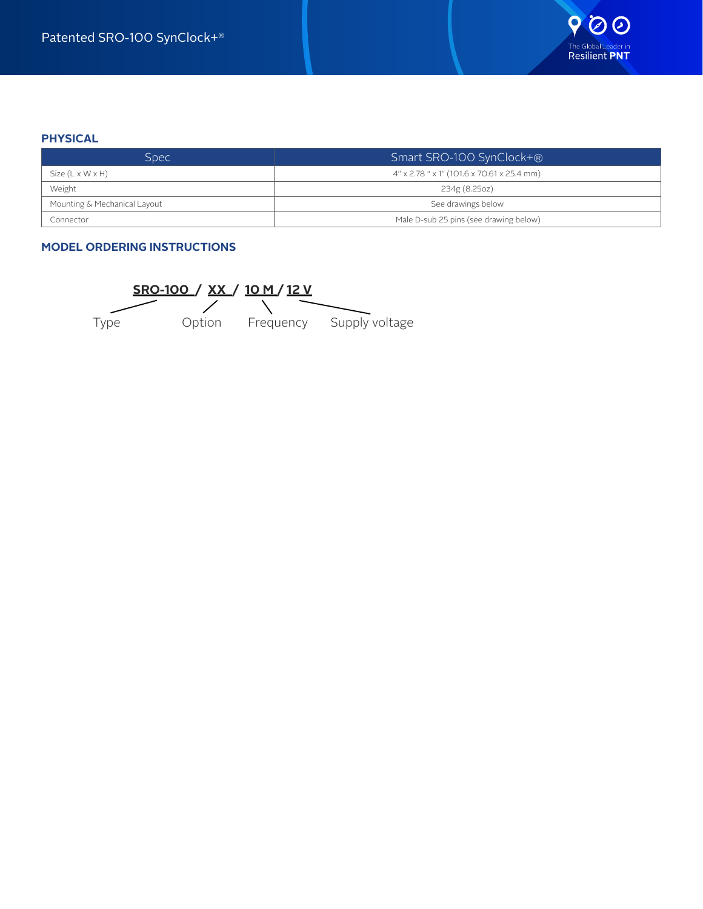#### **PHYSICAL**

| Spec.                                              | Smart SRO-100 SynClock+®                   |
|----------------------------------------------------|--------------------------------------------|
| Size $(L \times W \times H)$                       | 4" x 2.78 " x 1" (101.6 x 70.61 x 25.4 mm) |
| Weight                                             | 234g (8.25oz)                              |
| Mounting & Mechanical Layout<br>See drawings below |                                            |
| Connector                                          | Male D-sub 25 pins (see drawing below)     |

#### **MODEL ORDERING INSTRUCTIONS**

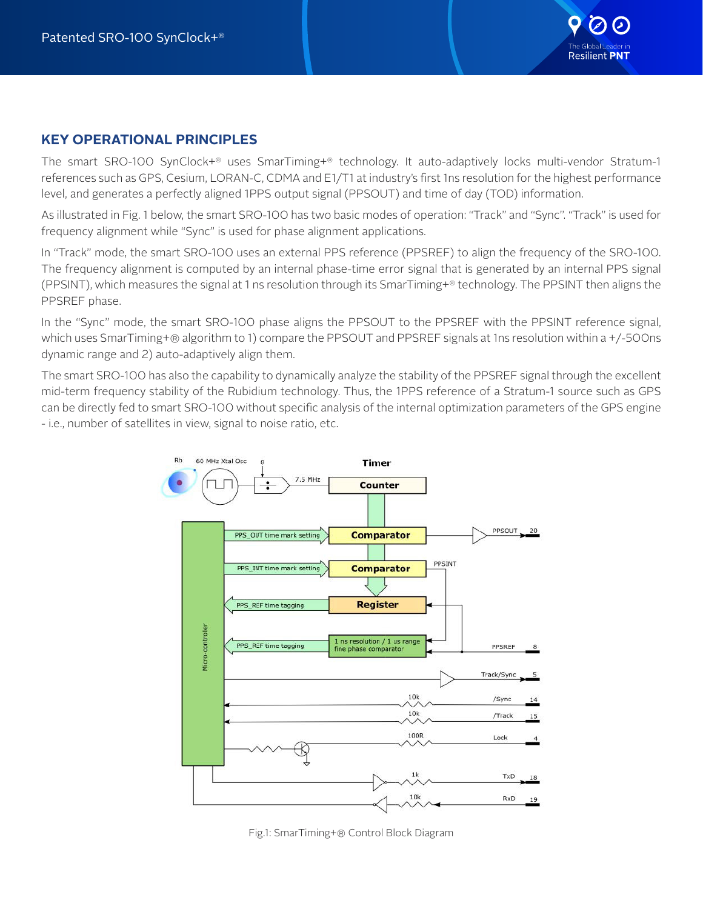

## **KEY OPERATIONAL PRINCIPLES**

The smart SRO-100 SynClock+® uses SmarTiming+® technology. It auto-adaptively locks multi-vendor Stratum-1 references such as GPS, Cesium, LORAN-C, CDMA and E1/T1 at industry's first 1ns resolution for the highest performance level, and generates a perfectly aligned 1PPS output signal (PPSOUT) and time of day (TOD) information.

As illustrated in Fig. 1 below, the smart SRO-100 has two basic modes of operation: "Track" and "Sync". "Track" is used for frequency alignment while "Sync" is used for phase alignment applications.

In "Track" mode, the smart SRO-100 uses an external PPS reference (PPSREF) to align the frequency of the SRO-100. The frequency alignment is computed by an internal phase-time error signal that is generated by an internal PPS signal (PPSINT), which measures the signal at 1 ns resolution through its SmarTiming+® technology. The PPSINT then aligns the PPSREF phase.

In the "Sync" mode, the smart SRO-100 phase aligns the PPSOUT to the PPSREF with the PPSINT reference signal, which uses SmarTiming+® algorithm to 1) compare the PPSOUT and PPSREF signals at 1ns resolution within a +/-500ns dynamic range and 2) auto-adaptively align them.

The smart SRO-100 has also the capability to dynamically analyze the stability of the PPSREF signal through the excellent mid-term frequency stability of the Rubidium technology. Thus, the 1PPS reference of a Stratum-1 source such as GPS can be directly fed to smart SRO-100 without specific analysis of the internal optimization parameters of the GPS engine - i.e., number of satellites in view, signal to noise ratio, etc.



Fig.1: SmarTiming+® Control Block Diagram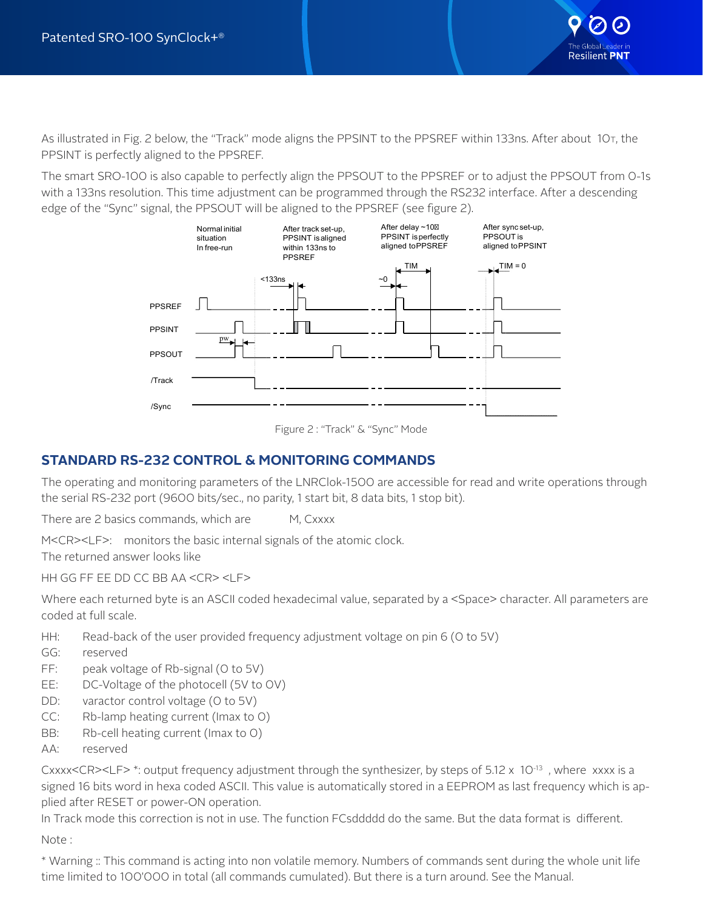

As illustrated in Fig. 2 below, the "Track" mode aligns the PPSINT to the PPSREF within 133ns. After about 10<sub>T</sub>, the PPSINT is perfectly aligned to the PPSREF.

The smart SRO-100 is also capable to perfectly align the PPSOUT to the PPSREF or to adjust the PPSOUT from 0-1s with a 133ns resolution. This time adjustment can be programmed through the RS232 interface. After a descending edge of the "Sync" signal, the PPSOUT will be aligned to the PPSREF (see figure 2).





## **STANDARD RS-232 CONTROL & MONITORING COMMANDS**

The operating and monitoring parameters of the LNRClok-1500 are accessible for read and write operations through the serial RS-232 port (9600 bits/sec., no parity, 1 start bit, 8 data bits, 1 stop bit).

There are 2 basics commands, which are M, Cxxxx

M<CR><LF>: monitors the basic internal signals of the atomic clock. The returned answer looks like

HH GG FF EE DD CC BB AA <CR> <LF>

Where each returned byte is an ASCII coded hexadecimal value, separated by a <Space> character. All parameters are coded at full scale.

- HH: Read-back of the user provided frequency adjustment voltage on pin 6 (0 to 5V)
- GG: reserved
- FF: peak voltage of Rb-signal (O to 5V)
- EE: DC-Voltage of the photocell (5V to 0V)
- DD: varactor control voltage (0 to 5V)
- CC: Rb-lamp heating current (Imax to 0)
- BB: Rb-cell heating current (Imax to O)
- AA: reserved

Cxxxx<CR><LF> \*: output frequency adjustment through the synthesizer, by steps of  $5.12 \times 10^{-13}$ , where xxxx is a signed 16 bits word in hexa coded ASCII. This value is automatically stored in a EEPROM as last frequency which is applied after RESET or power-ON operation.

In Track mode this correction is not in use. The function FCsddddd do the same. But the data format is different. Note :

\* Warning :: This command is acting into non volatile memory. Numbers of commands sent during the whole unit life time limited to 100'000 in total (all commands cumulated). But there is a turn around. See the Manual.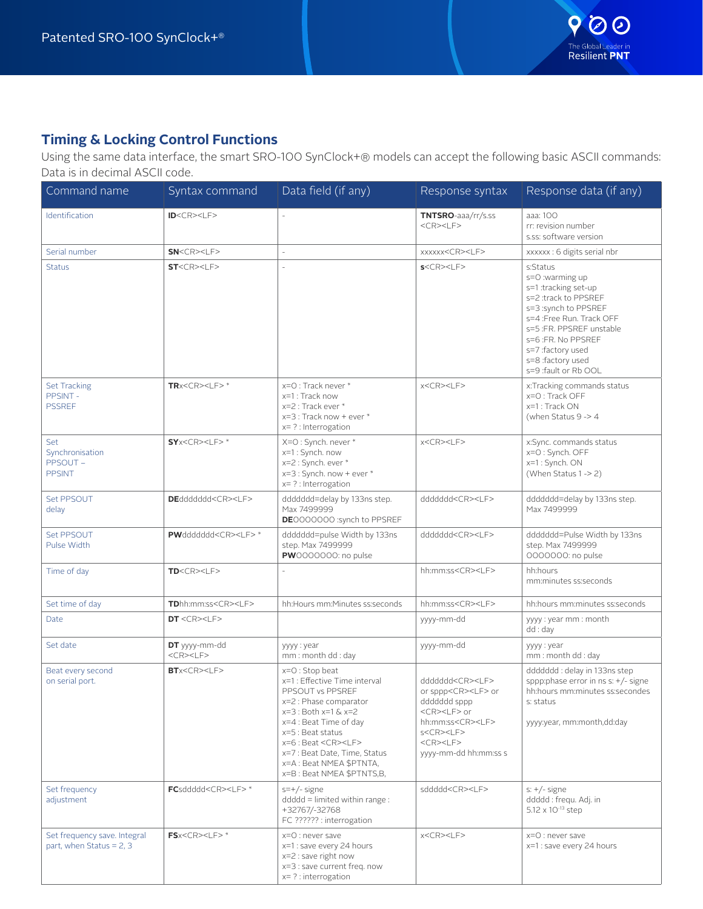

## **Timing & Locking Control Functions**

Using the same data interface, the smart SRO-100 SynClock+® models can accept the following basic ASCII commands: Data is in decimal ASCII code.

| Command name                                               | Syntax command                   | Data field (if any)                                                                                                                                                                                                                                                                                            | Response syntax                                                                                                                                                                                                                           | Response data (if any)                                                                                                                                                                                                                             |
|------------------------------------------------------------|----------------------------------|----------------------------------------------------------------------------------------------------------------------------------------------------------------------------------------------------------------------------------------------------------------------------------------------------------------|-------------------------------------------------------------------------------------------------------------------------------------------------------------------------------------------------------------------------------------------|----------------------------------------------------------------------------------------------------------------------------------------------------------------------------------------------------------------------------------------------------|
| Identification                                             | ID < CR > LF                     |                                                                                                                                                                                                                                                                                                                | TNTSRO-aaa/rr/s.ss<br>$<$ CR> $<$ LF>                                                                                                                                                                                                     | aaa: 100<br>rr: revision number<br>s.ss: software version                                                                                                                                                                                          |
| Serial number                                              | SN < CP > LF                     | $\overline{\phantom{a}}$                                                                                                                                                                                                                                                                                       | xxxxxx <cr><lf></lf></cr>                                                                                                                                                                                                                 | xxxxxx: 6 digits serial nbr                                                                                                                                                                                                                        |
| <b>Status</b>                                              | ST < CP > LF                     |                                                                                                                                                                                                                                                                                                                | S < CP > LF                                                                                                                                                                                                                               | s:Status<br>s=0 :warming up<br>s=1:tracking set-up<br>s=2 :track to PPSREF<br>s=3 :synch to PPSREF<br>s=4 :Free Run. Track OFF<br>s=5 :FR. PPSREF unstable<br>s=6 :FR. No PPSREF<br>s=7 :factory used<br>s=8 :factory used<br>s=9 :fault or Rb OOL |
| <b>Set Tracking</b><br>PPSINT -<br><b>PSSREF</b>           | $TRx < CR > LF > *$              | x=O: Track never *<br>x=1 : Track now<br>x=2 : Track ever *<br>$x=3$ : Track now + ever $*$<br>$x=$ ? : Interrogation                                                                                                                                                                                          | x <cr><lf></lf></cr>                                                                                                                                                                                                                      | x:Tracking commands status<br>x=0 : Track OFF<br>x=1 : Track ON<br>(when Status 9 -> 4                                                                                                                                                             |
| Set<br>Synchronisation<br>PPSOUT-<br><b>PPSINT</b>         | $SY \times CR \times LF$ *       | X=0 : Synch. never *<br>x=1 : Synch. now<br>x=2 : Synch. ever *<br>x=3 : Synch. now + ever *<br>$x=$ ? : Interrogation                                                                                                                                                                                         | x <cr><lf></lf></cr>                                                                                                                                                                                                                      | x:Sync. commands status<br>x=0 : Synch. OFF<br>x=1: Synch. ON<br>(When Status 1 -> 2)                                                                                                                                                              |
| Set PPSOUT<br>delay                                        | DEddddddd <cr><lf></lf></cr>     | ddddddd=delay by 133ns step.<br>Max 7499999<br>DE0000000 :synch to PPSREF                                                                                                                                                                                                                                      | dddddd <cr><lf></lf></cr>                                                                                                                                                                                                                 | ddddddd=delay by 133ns step.<br>Max 7499999                                                                                                                                                                                                        |
| Set PPSOUT<br>Pulse Width                                  | PWdddddd <cr><lf>*</lf></cr>     | dddddd=pulse Width by 133ns<br>step. Max 7499999<br>PW0000000: no pulse                                                                                                                                                                                                                                        | dddddd <cr><lf></lf></cr>                                                                                                                                                                                                                 | dddddd=Pulse Width by 133ns<br>step. Max 7499999<br>0000000: no pulse                                                                                                                                                                              |
| Time of day                                                | TD < CR > LF                     |                                                                                                                                                                                                                                                                                                                | hh:mm:ss <cr><lf></lf></cr>                                                                                                                                                                                                               | hh:hours<br>mm:minutes ss:seconds                                                                                                                                                                                                                  |
| Set time of day                                            | TDhh:mm:ss <cr><lf></lf></cr>    | hh:Hours mm:Minutes ss:seconds                                                                                                                                                                                                                                                                                 | hh:mm:ss <cr><lf></lf></cr>                                                                                                                                                                                                               | hh:hours mm:minutes ss:seconds                                                                                                                                                                                                                     |
| Date                                                       | DT < CR > LF                     |                                                                                                                                                                                                                                                                                                                | yyyy-mm-dd                                                                                                                                                                                                                                | yyyy : year mm : month<br>dd: day                                                                                                                                                                                                                  |
| Set date                                                   | DT yyyy-mm-dd<br>$<$ CR> $<$ LF> | yyyy : year<br>mm: month dd: day                                                                                                                                                                                                                                                                               | yyyy-mm-dd                                                                                                                                                                                                                                | yyyy : year<br>mm: month dd: day                                                                                                                                                                                                                   |
| Beat every second<br>on serial port.                       | BTx < CR > LF                    | $x=O$ : Stop beat<br>x=1 : Effective Time interval<br>PPSOUT vs PPSREF<br>x=2 : Phase comparator<br>$x=3:$ Both $x=1$ & $x=2$<br>x=4 : Beat Time of day<br>$x=5$ : Beat status<br>$x=6$ : Beat <cr><lf><br/>x=7 : Beat Date, Time, Status<br/>x=A : Beat NMEA \$PTNTA,<br/>x=B: Beat NMEA \$PTNTS,B,</lf></cr> | dddddd <cr><lf><br/>or sppp<cr><lf> or<br/>ddddddd sppp<br/><cr><lf> or<br/>hh:mm:ss<cr><lf><br/>s<cr><lf><br/><math>&lt;</math>CR&gt;<math>&lt;</math>LF&gt;<br/>yyyy-mm-dd hh:mm:ss s</lf></cr></lf></cr></lf></cr></lf></cr></lf></cr> | ddddddd: delay in 133ns step<br>sppp:phase error in $ns$ s: $+/$ - signe<br>hh:hours mm:minutes ss:secondes<br>s: status<br>yyyy:year, mm:month,dd:day                                                                                             |
| Set frequency<br>adjustment                                | FCsddddd <cr><lf>*</lf></cr>     | $s=+/$ -signe<br>$dddd =$ limited within range:<br>+32767/-32768<br>FC ?????? : interrogation                                                                                                                                                                                                                  | sddddd <cr><lf></lf></cr>                                                                                                                                                                                                                 | $s: +/-$ signe<br>ddddd: fregu. Adj. in<br>5.12 x 10 <sup>-13</sup> step                                                                                                                                                                           |
| Set frequency save. Integral<br>part, when Status = $2, 3$ | $FSx < CR > LF > *$              | x=0 : never save<br>x=1 : save every 24 hours<br>x=2 : save right now<br>x=3 : save current freq. now<br>$x=$ ? : interrogation                                                                                                                                                                                | $x < C$ R $>$ $<$ l $F$ $>$                                                                                                                                                                                                               | x=0 : never save<br>x=1 : save every 24 hours                                                                                                                                                                                                      |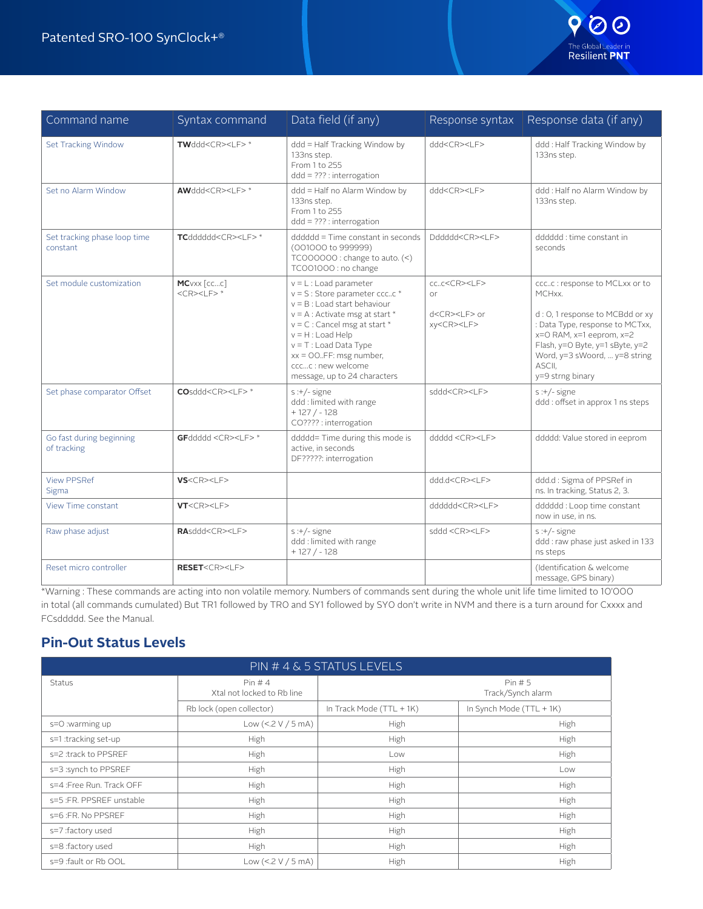

| Command name                             | Syntax command                     | Data field (if any)                                                                                                                                                                                                                                                                                          | Response syntax                                                                   | Response data (if any)                                                                                                                                                                                                                        |
|------------------------------------------|------------------------------------|--------------------------------------------------------------------------------------------------------------------------------------------------------------------------------------------------------------------------------------------------------------------------------------------------------------|-----------------------------------------------------------------------------------|-----------------------------------------------------------------------------------------------------------------------------------------------------------------------------------------------------------------------------------------------|
| Set Tracking Window                      | TWddd <cr><lf>*</lf></cr>          | ddd = Half Tracking Window by<br>133ns step.<br>From 1 to 255<br>$ddd = ??$ : interrogation                                                                                                                                                                                                                  | ddd <cr><lf></lf></cr>                                                            | ddd: Half Tracking Window by<br>133ns step.                                                                                                                                                                                                   |
| Set no Alarm Window                      | AWddd <cr><lf>*</lf></cr>          | ddd = Half no Alarm Window by<br>133ns step.<br>From 1 to 255<br>$ddd = ??$ : interrogation                                                                                                                                                                                                                  | ddd <cr><lf></lf></cr>                                                            | ddd : Half no Alarm Window by<br>133ns step.                                                                                                                                                                                                  |
| Set tracking phase loop time<br>constant | TCdddddd <cr><lf>*</lf></cr>       | dddddd = Time constant in seconds<br>(001000 to 999999)<br>TCOOOOOO : change to auto. $(\leq)$<br>TCO01000: no change                                                                                                                                                                                        | Dddddd <cr><if></if></cr>                                                         | dddddd : time constant in<br>seconds                                                                                                                                                                                                          |
| Set module customization                 | MCVXX [CCC]<br>$<$ CR> $<$ LF> $*$ | $v = L$ : Load parameter<br>$v = S$ : Store parameter cccc *<br>$v = B$ : Load start behaviour<br>$v = A$ : Activate msg at start *<br>$v = C$ : Cancel msg at start *<br>$v = H$ : Load Help<br>$v = T$ : Load Data Type<br>$xx = OO.FF: msg number,$<br>cccc : new welcome<br>message, up to 24 characters | ccc <cr><lf><br/>0r<br/>d<cr><lf> or<br/>xy<cr><lf></lf></cr></lf></cr></lf></cr> | cccc : response to MCLxx or to<br>MCHxx.<br>d : O, 1 response to MCBdd or xy<br>: Data Type, response to MCTxx,<br>x=0 RAM, x=1 eeprom, x=2<br>Flash, y=O Byte, y=1 sByte, y=2<br>Word, y=3 sWoord,  y=8 string<br>ASCII.<br>y=9 strng binary |
| Set phase comparator Offset              | COsddd <cr><lf>*</lf></cr>         | $s:+/$ -signe<br>ddd : limited with range<br>$+127/ -128$<br>CO???? : interrogation                                                                                                                                                                                                                          | sddd <cr><lf></lf></cr>                                                           | $s:+/$ -signe<br>ddd: offset in approx 1 ns steps                                                                                                                                                                                             |
| Go fast during beginning<br>of tracking  | GFddddd <cr><lf>*</lf></cr>        | ddddd= Time during this mode is<br>active, in seconds<br>DF?????: interrogation                                                                                                                                                                                                                              | ddddd <cr><lf></lf></cr>                                                          | ddddd: Value stored in eeprom                                                                                                                                                                                                                 |
| <b>View PPSRef</b><br>Sigma              | VS < CP > LF                       |                                                                                                                                                                                                                                                                                                              | ddd.d <cr><lf></lf></cr>                                                          | ddd.d: Sigma of PPSRef in<br>ns. In tracking, Status 2, 3.                                                                                                                                                                                    |
| <b>View Time constant</b>                | VT < CP > LF                       |                                                                                                                                                                                                                                                                                                              | dddddd <cr><lf></lf></cr>                                                         | dddddd: Loop time constant<br>now in use, in ns.                                                                                                                                                                                              |
| Raw phase adjust                         | RAsddd <cr><lf></lf></cr>          | $s:+/$ -signe<br>ddd : limited with range<br>$+127/ -128$                                                                                                                                                                                                                                                    | sddd <cr><lf></lf></cr>                                                           | $s:+/$ -signe<br>ddd: raw phase just asked in 133<br>ns steps                                                                                                                                                                                 |
| Reset micro controller                   | RESET <cr><lf></lf></cr>           |                                                                                                                                                                                                                                                                                                              |                                                                                   | (Identification & welcome<br>message, GPS binary)                                                                                                                                                                                             |

\*Warning : These commands are acting into non volatile memory. Numbers of commands sent during the whole unit life time limited to 10'000 in total (all commands cumulated) But TR1 followed by TR0 and SY1 followed by SY0 don't write in NVM and there is a turn around for Cxxxx and FCsddddd. See the Manual.

## **Pin-Out Status Levels**

| PIN # 4 & 5 STATUS LEVELS |                                     |                            |                          |  |  |
|---------------------------|-------------------------------------|----------------------------|--------------------------|--|--|
| Status                    | Pin#4<br>Xtal not locked to Rb line | Pin#5<br>Track/Synch alarm |                          |  |  |
|                           | Rb lock (open collector)            | In Track Mode (TTL + 1K)   | In Synch Mode (TTL + 1K) |  |  |
| s=0 :warming up           | Low (<.2 V / 5 mA)                  | High                       | High                     |  |  |
| s=1 :tracking set-up      | High                                | High                       | High                     |  |  |
| s=2 :track to PPSREF      | High                                | Low                        | High                     |  |  |
| s=3 :synch to PPSREF      | High                                | High                       | Low                      |  |  |
| s=4 : Free Run. Track OFF | High                                | High                       | High                     |  |  |
| s=5 :FR. PPSREF unstable  | High                                | High                       | High                     |  |  |
| s=6 :FR. No PPSREF        | High                                | High                       | High                     |  |  |
| s=7 :factory used         | High                                | High                       | High                     |  |  |
| s=8 :factory used         | High                                | High                       | High                     |  |  |
| s=9 :fault or Rb OOL      | Low $(<.2 V / 5 mA)$                | High                       | High                     |  |  |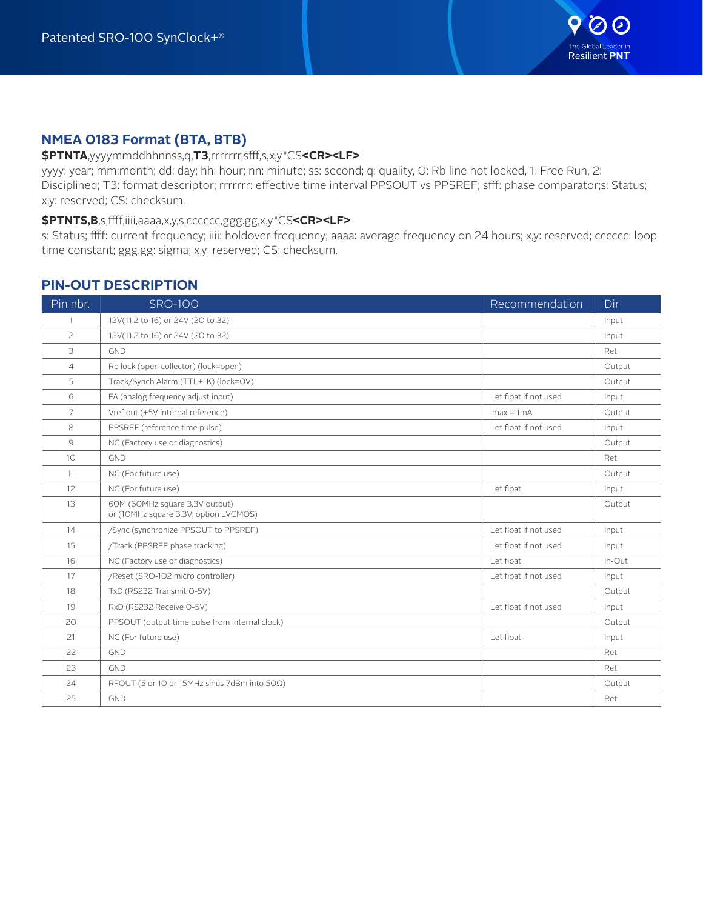

## **NMEA 0183 Format (BTA, BTB)**

#### **\$PTNTA**,yyyymmddhhnnss,q,**T3**,rrrrrrr,sfff,s,x,y\*CS**<CR><LF>**

yyyy: year; mm:month; dd: day; hh: hour; nn: minute; ss: second; q: quality, 0: Rb line not locked, 1: Free Run, 2: Disciplined; T3: format descriptor; rrrrrrr: effective time interval PPSOUT vs PPSREF; sfff: phase comparator;s: Status; x,y: reserved; CS: checksum.

#### **\$PTNTS,B**,s,ffff,iiii,aaaa,x,y,s,cccccc,ggg.gg,x,y\*CS**<CR><LF>**

s: Status; ffff: current frequency; iiii: holdover frequency; aaaa: average frequency on 24 hours; x,y: reserved; cccccc: loop time constant; ggg.gg: sigma; x,y: reserved; CS: checksum.

### **PIN-OUT DESCRIPTION**

| Pin nbr.        | <b>SRO-100</b>                                                          | Recommendation        | Dir    |
|-----------------|-------------------------------------------------------------------------|-----------------------|--------|
| $\mathbf{1}$    | 12V(11.2 to 16) or 24V (20 to 32)                                       |                       | Input  |
| $\mathsf{S}$    | 12V(11.2 to 16) or 24V (20 to 32)                                       |                       | Input  |
| 3               | <b>GND</b>                                                              |                       | Ret    |
| $\overline{4}$  | Rb lock (open collector) (lock=open)                                    |                       | Output |
| 5               | Track/Synch Alarm (TTL+1K) (lock=OV)                                    |                       | Output |
| 6               | FA (analog frequency adjust input)                                      | Let float if not used | Input  |
| 7               | Vref out (+5V internal reference)                                       | $Imax = 1mA$          | Output |
| 8               | PPSREF (reference time pulse)                                           | Let float if not used | Input  |
| $\mathcal{G}$   | NC (Factory use or diagnostics)                                         |                       | Output |
| 10 <sup>°</sup> | GND                                                                     |                       | Ret    |
| 11              | NC (For future use)                                                     |                       | Output |
| 12              | NC (For future use)                                                     | Let float             | Input  |
| 13              | 60M (60MHz square 3.3V output)<br>or (10MHz square 3.3V; option LVCMOS) |                       | Output |
| 14              | /Sync (synchronize PPSOUT to PPSREF)                                    | Let float if not used | Input  |
| 15              | /Track (PPSREF phase tracking)                                          | Let float if not used | Input  |
| 16              | NC (Factory use or diagnostics)                                         | Let float             | In-Out |
| 17              | /Reset (SRO-102 micro controller)                                       | Let float if not used | Input  |
| 18              | TxD (RS232 Transmit O-5V)                                               |                       | Output |
| 19              | RxD (RS232 Receive O-5V)                                                | Let float if not used | Input  |
| 20              | PPSOUT (output time pulse from internal clock)                          |                       | Output |
| 21              | NC (For future use)                                                     | Let float             | Input  |
| 22              | <b>GND</b>                                                              |                       | Ret    |
| 23              | <b>GND</b>                                                              |                       | Ret    |
| 24              | RFOUT (5 or 10 or 15MHz sinus 7dBm into $50\Omega$ )                    |                       | Output |
| 25              | <b>GND</b>                                                              |                       | Ret    |